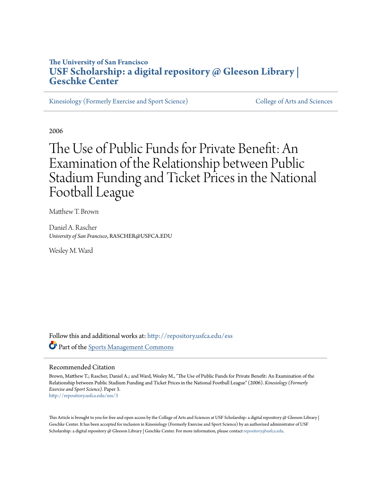# **The University of San Francisco [USF Scholarship: a digital repository @ Gleeson Library |](http://repository.usfca.edu?utm_source=repository.usfca.edu%2Fess%2F3&utm_medium=PDF&utm_campaign=PDFCoverPages) [Geschke Center](http://repository.usfca.edu?utm_source=repository.usfca.edu%2Fess%2F3&utm_medium=PDF&utm_campaign=PDFCoverPages)**

[Kinesiology \(Formerly Exercise and Sport Science\)](http://repository.usfca.edu/ess?utm_source=repository.usfca.edu%2Fess%2F3&utm_medium=PDF&utm_campaign=PDFCoverPages) [College of Arts and Sciences](http://repository.usfca.edu/artsci?utm_source=repository.usfca.edu%2Fess%2F3&utm_medium=PDF&utm_campaign=PDFCoverPages)

2006

# The Use of Public Funds for Private Benefit: An Examination of the Relationship between Public Stadium Funding and Ticket Prices in the National Football League

Matthew T. Brown

Daniel A. Rascher *University of San Francisco*, RASCHER@USFCA.EDU

Wesley M. Ward

Follow this and additional works at: [http://repository.usfca.edu/ess](http://repository.usfca.edu/ess?utm_source=repository.usfca.edu%2Fess%2F3&utm_medium=PDF&utm_campaign=PDFCoverPages) Part of the [Sports Management Commons](http://network.bepress.com/hgg/discipline/1193?utm_source=repository.usfca.edu%2Fess%2F3&utm_medium=PDF&utm_campaign=PDFCoverPages)

#### Recommended Citation

Brown, Matthew T.; Rascher, Daniel A.; and Ward, Wesley M., "The Use of Public Funds for Private Benefit: An Examination of the Relationship between Public Stadium Funding and Ticket Prices in the National Football League" (2006). *Kinesiology (Formerly Exercise and Sport Science).* Paper 3. [http://repository.usfca.edu/ess/3](http://repository.usfca.edu/ess/3?utm_source=repository.usfca.edu%2Fess%2F3&utm_medium=PDF&utm_campaign=PDFCoverPages)

This Article is brought to you for free and open access by the College of Arts and Sciences at USF Scholarship: a digital repository @ Gleeson Library | Geschke Center. It has been accepted for inclusion in Kinesiology (Formerly Exercise and Sport Science) by an authorized administrator of USF Scholarship: a digital repository @ Gleeson Library | Geschke Center. For more information, please contact [repository@usfca.edu.](mailto:repository@usfca.edu)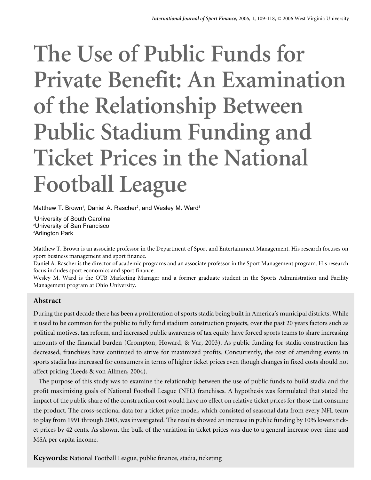# **The Use of Public Funds for Private Benefit: An Examination of the Relationship Between Public Stadium Funding and Ticket Prices in the National Football League**

Matthew T. Brown<sup>1</sup>, Daniel A. Rascher<sup>2</sup>, and Wesley M. Ward<sup>3</sup>

1 University of South Carolina 2 University of San Francisco 3 Arlington Park

Matthew T. Brown is an associate professor in the Department of Sport and Entertainment Management. His research focuses on sport business management and sport finance.

Daniel A. Rascher is the director of academic programs and an associate professor in the Sport Management program. His research focus includes sport economics and sport finance.

Wesley M. Ward is the OTB Marketing Manager and a former graduate student in the Sports Administration and Facility Management program at Ohio University.

# **Abstract**

During the past decade there has been a proliferation of sports stadia being built in America's municipal districts. While it used to be common for the public to fully fund stadium construction projects, over the past 20 years factors such as political motives, tax reform, and increased public awareness of tax equity have forced sports teams to share increasing amounts of the financial burden (Crompton, Howard, & Var, 2003). As public funding for stadia construction has decreased, franchises have continued to strive for maximized profits. Concurrently, the cost of attending events in sports stadia has increased for consumers in terms of higher ticket prices even though changes in fixed costs should not affect pricing (Leeds & von Allmen, 2004).

The purpose of this study was to examine the relationship between the use of public funds to build stadia and the profit maximizing goals of National Football League (NFL) franchises. A hypothesis was formulated that stated the impact of the public share of the construction cost would have no effect on relative ticket prices for those that consume the product. The cross-sectional data for a ticket price model, which consisted of seasonal data from every NFL team to play from 1991 through 2003, was investigated. The results showed an increase in public funding by 10% lowers ticket prices by 42 cents. As shown, the bulk of the variation in ticket prices was due to a general increase over time and MSA per capita income.

**Keywords:** National Football League, public finance, stadia, ticketing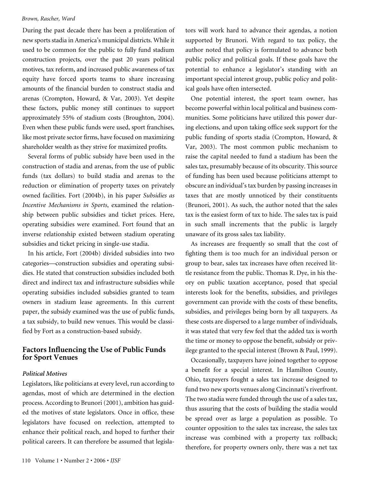During the past decade there has been a proliferation of new sports stadia in America's municipal districts. While it used to be common for the public to fully fund stadium construction projects, over the past 20 years political motives, tax reform, and increased public awareness of tax equity have forced sports teams to share increasing amounts of the financial burden to construct stadia and arenas (Crompton, Howard, & Var, 2003). Yet despite these factors, public money still continues to support approximately 55% of stadium costs (Broughton, 2004). Even when these public funds were used, sport franchises, like most private sector firms, have focused on maximizing shareholder wealth as they strive for maximized profits.

Several forms of public subsidy have been used in the construction of stadia and arenas, from the use of public funds (tax dollars) to build stadia and arenas to the reduction or elimination of property taxes on privately owned facilities. Fort (2004b), in his paper *Subsidies as Incentive Mechanisms in Sports*, examined the relationship between public subsidies and ticket prices. Here, operating subsidies were examined. Fort found that an inverse relationship existed between stadium operating subsidies and ticket pricing in single-use stadia.

In his article, Fort (2004b) divided subsidies into two categories—construction subsidies and operating subsidies. He stated that construction subsidies included both direct and indirect tax and infrastructure subsidies while operating subsidies included subsidies granted to team owners in stadium lease agreements. In this current paper, the subsidy examined was the use of public funds, a tax subsidy, to build new venues. This would be classified by Fort as a construction-based subsidy.

# **Factors Influencing the Use of Public Funds for Sport Venues**

#### *Political Motives*

Legislators, like politicians at every level, run according to agendas, most of which are determined in the election process. According to Brunori (2001), ambition has guided the motives of state legislators. Once in office, these legislators have focused on reelection, attempted to enhance their political reach, and hoped to further their political careers. It can therefore be assumed that legislators will work hard to advance their agendas, a notion supported by Brunori. With regard to tax policy, the author noted that policy is formulated to advance both public policy and political goals. If these goals have the potential to enhance a legislator's standing with an important special interest group, public policy and political goals have often intersected.

One potential interest, the sport team owner, has become powerful within local political and business communities. Some politicians have utilized this power during elections, and upon taking office seek support for the public funding of sports stadia (Crompton, Howard, & Var, 2003). The most common public mechanism to raise the capital needed to fund a stadium has been the sales tax, presumably because of its obscurity. This source of funding has been used because politicians attempt to obscure an individual's tax burden by passing increases in taxes that are mostly unnoticed by their constituents (Brunori, 2001). As such, the author noted that the sales tax is the easiest form of tax to hide. The sales tax is paid in such small increments that the public is largely unaware of its gross sales tax liability.

As increases are frequently so small that the cost of fighting them is too much for an individual person or group to bear, sales tax increases have often received little resistance from the public. Thomas R. Dye, in his theory on public taxation acceptance, posed that special interests look for the benefits, subsidies, and privileges government can provide with the costs of these benefits, subsidies, and privileges being born by all taxpayers. As these costs are dispersed to a large number of individuals, it was stated that very few feel that the added tax is worth the time or money to oppose the benefit, subsidy or privilege granted to the special interest (Brown & Paul, 1999).

Occasionally, taxpayers have joined together to oppose a benefit for a special interest. In Hamilton County, Ohio, taxpayers fought a sales tax increase designed to fund two new sports venues along Cincinnati's riverfront. The two stadia were funded through the use of a sales tax, thus assuring that the costs of building the stadia would be spread over as large a population as possible. To counter opposition to the sales tax increase, the sales tax increase was combined with a property tax rollback; therefore, for property owners only, there was a net tax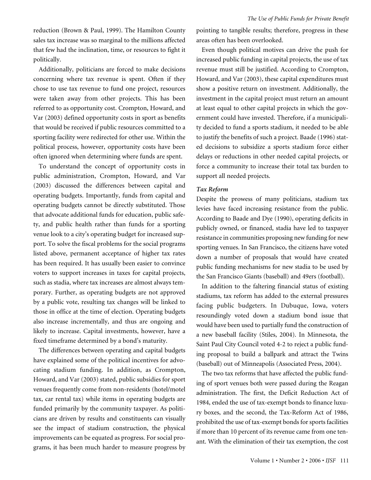reduction (Brown & Paul, 1999). The Hamilton County sales tax increase was so marginal to the millions affected that few had the inclination, time, or resources to fight it politically.

Additionally, politicians are forced to make decisions concerning where tax revenue is spent. Often if they chose to use tax revenue to fund one project, resources were taken away from other projects. This has been referred to as opportunity cost. Crompton, Howard, and Var (2003) defined opportunity costs in sport as benefits that would be received if public resources committed to a sporting facility were redirected for other use. Within the political process, however, opportunity costs have been often ignored when determining where funds are spent.

To understand the concept of opportunity costs in public administration, Crompton, Howard, and Var (2003) discussed the differences between capital and operating budgets. Importantly, funds from capital and operating budgets cannot be directly substituted. Those that advocate additional funds for education, public safety, and public health rather than funds for a sporting venue look to a city's operating budget for increased support. To solve the fiscal problems for the social programs listed above, permanent acceptance of higher tax rates has been required. It has usually been easier to convince voters to support increases in taxes for capital projects, such as stadia, where tax increases are almost always temporary. Further, as operating budgets are not approved by a public vote, resulting tax changes will be linked to those in office at the time of election. Operating budgets also increase incrementally, and thus are ongoing and likely to increase. Capital investments, however, have a fixed timeframe determined by a bond's maturity.

The differences between operating and capital budgets have explained some of the political incentives for advocating stadium funding. In addition, as Crompton, Howard, and Var (2003) stated, public subsidies for sport venues frequently come from non-residents (hotel/motel tax, car rental tax) while items in operating budgets are funded primarily by the community taxpayer. As politicians are driven by results and constituents can visually see the impact of stadium construction, the physical improvements can be equated as progress. For social programs, it has been much harder to measure progress by

pointing to tangible results; therefore, progress in these areas often has been overlooked.

Even though political motives can drive the push for increased public funding in capital projects, the use of tax revenue must still be justified. According to Crompton, Howard, and Var (2003), these capital expenditures must show a positive return on investment. Additionally, the investment in the capital project must return an amount at least equal to other capital projects in which the government could have invested. Therefore, if a municipality decided to fund a sports stadium, it needed to be able to justify the benefits of such a project. Baade (1996) stated decisions to subsidize a sports stadium force either delays or reductions in other needed capital projects, or force a community to increase their total tax burden to support all needed projects.

#### *Tax Reform*

Despite the prowess of many politicians, stadium tax levies have faced increasing resistance from the public. According to Baade and Dye (1990), operating deficits in publicly owned, or financed, stadia have led to taxpayer resistance in communities proposing new funding for new sporting venues. In San Francisco, the citizens have voted down a number of proposals that would have created public funding mechanisms for new stadia to be used by the San Francisco Giants (baseball) and 49ers (football).

In addition to the faltering financial status of existing stadiums, tax reform has added to the external pressures facing public budgeters. In Dubuque, Iowa, voters resoundingly voted down a stadium bond issue that would have been used to partially fund the construction of a new baseball facility (Stiles, 2004). In Minnesota, the Saint Paul City Council voted 4-2 to reject a public funding proposal to build a ballpark and attract the Twins (baseball) out of Minneapolis (Associated Press, 2004).

The two tax reforms that have affected the public funding of sport venues both were passed during the Reagan administration. The first, the Deficit Reduction Act of 1984, ended the use of tax-exempt bonds to finance luxury boxes, and the second, the Tax-Reform Act of 1986, prohibited the use of tax-exempt bonds for sports facilities if more than 10 percent of its revenue came from one tenant. With the elimination of their tax exemption, the cost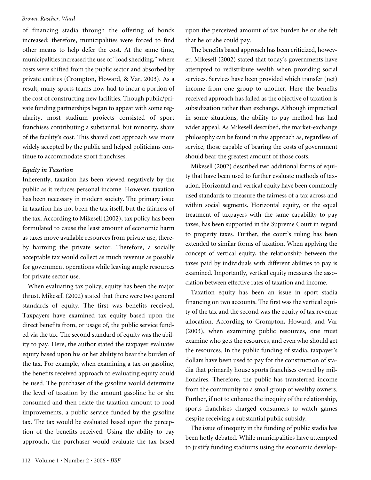of financing stadia through the offering of bonds increased; therefore, municipalities were forced to find other means to help defer the cost. At the same time, municipalities increased the use of "load shedding," where costs were shifted from the public sector and absorbed by private entities (Crompton, Howard, & Var, 2003). As a result, many sports teams now had to incur a portion of the cost of constructing new facilities. Though public/private funding partnerships began to appear with some regularity, most stadium projects consisted of sport franchises contributing a substantial, but minority, share of the facility's cost. This shared cost approach was more widely accepted by the public and helped politicians continue to accommodate sport franchises.

#### *Equity in Taxation*

Inherently, taxation has been viewed negatively by the public as it reduces personal income. However, taxation has been necessary in modern society. The primary issue in taxation has not been the tax itself, but the fairness of the tax. According to Mikesell (2002), tax policy has been formulated to cause the least amount of economic harm as taxes move available resources from private use, thereby harming the private sector. Therefore, a socially acceptable tax would collect as much revenue as possible for government operations while leaving ample resources for private sector use.

When evaluating tax policy, equity has been the major thrust. Mikesell (2002) stated that there were two general standards of equity. The first was benefits received. Taxpayers have examined tax equity based upon the direct benefits from, or usage of, the public service funded via the tax. The second standard of equity was the ability to pay. Here, the author stated the taxpayer evaluates equity based upon his or her ability to bear the burden of the tax. For example, when examining a tax on gasoline, the benefits received approach to evaluating equity could be used. The purchaser of the gasoline would determine the level of taxation by the amount gasoline he or she consumed and then relate the taxation amount to road improvements, a public service funded by the gasoline tax. The tax would be evaluated based upon the perception of the benefits received. Using the ability to pay approach, the purchaser would evaluate the tax based

upon the perceived amount of tax burden he or she felt that he or she could pay.

The benefits based approach has been criticized, however. Mikesell (2002) stated that today's governments have attempted to redistribute wealth when providing social services. Services have been provided which transfer (net) income from one group to another. Here the benefits received approach has failed as the objective of taxation is subsidization rather than exchange. Although impractical in some situations, the ability to pay method has had wider appeal. As Mikesell described, the market-exchange philosophy can be found in this approach as, regardless of service, those capable of bearing the costs of government should bear the greatest amount of those costs.

Mikesell (2002) described two additional forms of equity that have been used to further evaluate methods of taxation. Horizontal and vertical equity have been commonly used standards to measure the fairness of a tax across and within social segments. Horizontal equity, or the equal treatment of taxpayers with the same capability to pay taxes, has been supported in the Supreme Court in regard to property taxes. Further, the court's ruling has been extended to similar forms of taxation. When applying the concept of vertical equity, the relationship between the taxes paid by individuals with different abilities to pay is examined. Importantly, vertical equity measures the association between effective rates of taxation and income.

Taxation equity has been an issue in sport stadia financing on two accounts. The first was the vertical equity of the tax and the second was the equity of tax revenue allocation. According to Crompton, Howard, and Var (2003), when examining public resources, one must examine who gets the resources, and even who should get the resources. In the public funding of stadia, taxpayer's dollars have been used to pay for the construction of stadia that primarily house sports franchises owned by millionaires. Therefore, the public has transferred income from the community to a small group of wealthy owners. Further, if not to enhance the inequity of the relationship, sports franchises charged consumers to watch games despite receiving a substantial public subsidy.

The issue of inequity in the funding of public stadia has been hotly debated. While municipalities have attempted to justify funding stadiums using the economic develop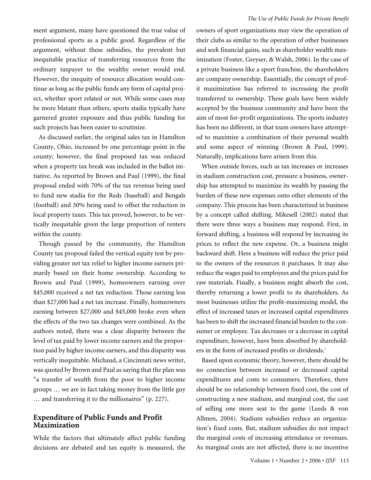ment argument, many have questioned the true value of professional sports as a public good. Regardless of the argument, without these subsidies, the prevalent but inequitable practice of transferring resources from the ordinary taxpayer to the wealthy owner would end. However, the inequity of resource allocation would continue as long as the public funds any form of capital project, whether sport related or not. While some cases may be more blatant than others, sports stadia typically have garnered greater exposure and thus public funding for such projects has been easier to scrutinize.

As discussed earlier, the original sales tax in Hamilton County, Ohio, increased by one percentage point in the county; however, the final proposed tax was reduced when a property tax break was included in the ballot initiative. As reported by Brown and Paul (1999), the final proposal ended with 70% of the tax revenue being used to fund new stadia for the Reds (baseball) and Bengals (football) and 30% being used to offset the reduction in local property taxes. This tax proved, however, to be vertically inequitable given the large proportion of renters within the county.

Though passed by the community, the Hamilton County tax proposal failed the vertical equity test by providing greater net tax relief to higher income earners primarily based on their home ownership. According to Brown and Paul (1999), homeowners earning over \$45,000 received a net tax reduction. Those earning less than \$27,000 had a net tax increase. Finally, homeowners earning between \$27,000 and \$45,000 broke even when the effects of the two tax changes were combined. As the authors noted, there was a clear disparity between the level of tax paid by lower income earners and the proportion paid by higher income earners, and this disparity was vertically inequitable. Michaud, a Cincinnati news writer, was quoted by Brown and Paul as saying that the plan was "a transfer of wealth from the poor to higher income groups … we are in fact taking money from the little guy … and transferring it to the millionaires" (p. 227).

## **Expenditure of Public Funds and Profit Maximization**

While the factors that ultimately affect public funding decisions are debated and tax equity is measured, the

owners of sport organizations may view the operation of their clubs as similar to the operation of other businesses and seek financial gains, such as shareholder wealth maximization (Foster, Greyser, & Walsh, 2006). In the case of a private business like a sport franchise, the shareholders are company ownership. Essentially, the concept of profit maximization has referred to increasing the profit transferred to ownership. These goals have been widely accepted by the business community and have been the aim of most for-profit organizations. The sports industry has been no different, in that team owners have attempted to maximize a combination of their personal wealth and some aspect of winning (Brown & Paul, 1999). Naturally, implications have arisen from this.

When outside forces, such as tax increases or increases in stadium construction cost, pressure a business, ownership has attempted to maximize its wealth by passing the burden of these new expenses onto other elements of the company. This process has been characterized in business by a concept called shifting. Mikesell (2002) stated that there were three ways a business may respond. First, in forward shifting, a business will respond by increasing its prices to reflect the new expense. Or, a business might backward shift. Here a business will reduce the price paid to the owners of the resources it purchases. It may also reduce the wages paid to employees and the prices paid for raw materials. Finally, a business might absorb the cost, thereby returning a lower profit to its shareholders. As most businesses utilize the profit-maximizing model, the effect of increased taxes or increased capital expenditures has been to shift the increased financial burden to the consumer or employee. Tax decreases or a decrease in capital expenditure, however, have been absorbed by shareholders in the form of increased profits or dividends.<sup>1</sup>

Based upon economic theory, however, there should be no connection between increased or decreased capital expenditures and costs to consumers. Therefore, there should be no relationship between fixed cost, the cost of constructing a new stadium, and marginal cost, the cost of selling one more seat to the game (Leeds & von Allmen, 2004). Stadium subsidies reduce an organization's fixed costs. But, stadium subsidies do not impact the marginal costs of increasing attendance or revenues. As marginal costs are not affected, there is no incentive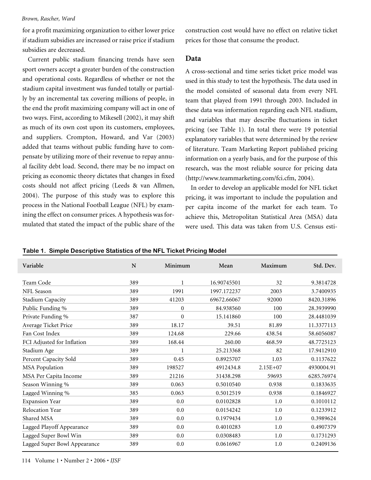for a profit maximizing organization to either lower price if stadium subsidies are increased or raise price if stadium subsidies are decreased.

Current public stadium financing trends have seen sport owners accept a greater burden of the construction and operational costs. Regardless of whether or not the stadium capital investment was funded totally or partially by an incremental tax covering millions of people, in the end the profit maximizing company will act in one of two ways. First, according to Mikesell (2002), it may shift as much of its own cost upon its customers, employees, and suppliers. Crompton, Howard, and Var (2003) added that teams without public funding have to compensate by utilizing more of their revenue to repay annual facility debt load. Second, there may be no impact on pricing as economic theory dictates that changes in fixed costs should not affect pricing (Leeds & van Allmen, 2004). The purpose of this study was to explore this process in the National Football League (NFL) by examining the effect on consumer prices. A hypothesis was formulated that stated the impact of the public share of the

construction cost would have no effect on relative ticket prices for those that consume the product.

### **Data**

A cross-sectional and time series ticket price model was used in this study to test the hypothesis. The data used in the model consisted of seasonal data from every NFL team that played from 1991 through 2003. Included in these data was information regarding each NFL stadium, and variables that may describe fluctuations in ticket pricing (see Table 1). In total there were 19 potential explanatory variables that were determined by the review of literature. Team Marketing Report published pricing information on a yearly basis, and for the purpose of this research, was the most reliable source for pricing data (http://www.teammarketing.com/fci.cfm, 2004).

In order to develop an applicable model for NFL ticket pricing, it was important to include the population and per capita income of the market for each team. To achieve this, Metropolitan Statistical Area (MSA) data were used. This data was taken from U.S. Census esti-

**Table 1. Simple Descriptive Statistics of the NFL Ticket Pricing Model**

| Variable                     | $\mathbf N$ | Minimum        | Mean        | Maximum      | Std. Dev.  |
|------------------------------|-------------|----------------|-------------|--------------|------------|
| Team Code                    | 389         | $\mathbf{1}$   | 16.90745501 | 32           | 9.3814728  |
| NFL Season                   | 389         | 1991           | 1997.172237 | 2003         | 3.7400935  |
| <b>Stadium Capacity</b>      | 389         | 41203          | 69672.66067 | 92000        | 8420.31896 |
| Public Funding %             | 389         | $\overline{0}$ | 84.938560   | 100          | 28.3939990 |
| Private Funding %            | 387         | $\overline{0}$ | 15.141860   | 100          | 28.4481039 |
| Average Ticket Price         | 389         | 18.17          | 39.51       | 81.89        | 11.3377113 |
| Fan Cost Index               | 389         | 124.68         | 229.66      | 438.54       | 58.6056087 |
| FCI Adjusted for Inflation   | 389         | 168.44         | 260.00      | 468.59       | 48.7725123 |
| Stadium Age                  | 389         | 1              | 25.213368   | 82           | 17.9412910 |
| Percent Capacity Sold        | 389         | 0.45           | 0.8925707   | 1.03         | 0.1137622  |
| <b>MSA</b> Population        | 389         | 198527         | 4912434.8   | $2.15E + 07$ | 4930004.91 |
| MSA Per Capita Income        | 389         | 21216          | 31438.298   | 59693        | 6285.76974 |
| Season Winning %             | 389         | 0.063          | 0.5010540   | 0.938        | 0.1833635  |
| Lagged Winning %             | 385         | 0.063          | 0.5012519   | 0.938        | 0.1846927  |
| <b>Expansion Year</b>        | 389         | 0.0            | 0.0102828   | 1.0          | 0.1010112  |
| Relocation Year              | 389         | 0.0            | 0.0154242   | 1.0          | 0.1233912  |
| Shared MSA                   | 389         | 0.0            | 0.1979434   | 1.0          | 0.3989624  |
| Lagged Playoff Appearance    | 389         | 0.0            | 0.4010283   | 1.0          | 0.4907379  |
| Lagged Super Bowl Win        | 389         | 0.0            | 0.0308483   | 1.0          | 0.1731293  |
| Lagged Super Bowl Appearance | 389         | 0.0            | 0.0616967   | 1.0          | 0.2409136  |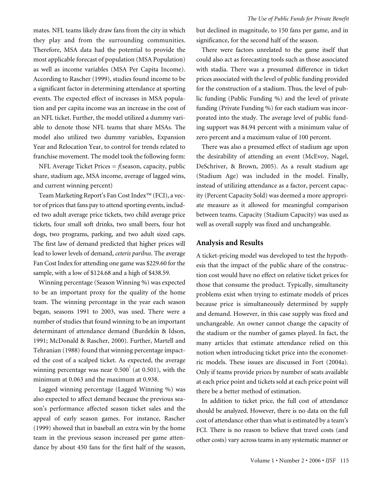*The Use of Public Funds for Private Benefit*

mates. NFL teams likely draw fans from the city in which they play and from the surrounding communities. Therefore, MSA data had the potential to provide the most applicable forecast of population (MSA Population) as well as income variables (MSA Per Capita Income). According to Rascher (1999), studies found income to be a significant factor in determining attendance at sporting events. The expected effect of increases in MSA population and per capita income was an increase in the cost of an NFL ticket. Further, the model utilized a dummy variable to denote those NFL teams that share MSAs. The model also utilized two dummy variables, Expansion Year and Relocation Year, to control for trends related to franchise movement. The model took the following form:

NFL Average Ticket Prices = *f*(season, capacity, public share, stadium age, MSA income, average of lagged wins, and current winning percent)

Team Marketing Report's Fan Cost Index™ (FCI), a vector of prices that fans pay to attend sporting events, included two adult average price tickets, two child average price tickets, four small soft drinks, two small beers, four hot dogs, two programs, parking, and two adult sized caps. The first law of demand predicted that higher prices will lead to lower levels of demand, *ceteris paribus*. The average Fan Cost Index for attending one game was \$229.60 for the sample, with a low of \$124.68 and a high of \$438.59.

Winning percentage (Season Winning %) was expected to be an important proxy for the quality of the home team. The winning percentage in the year each season began, seasons 1991 to 2003, was used. There were a number of studies that found winning to be an important determinant of attendance demand (Burdekin & Idson, 1991; McDonald & Rascher, 2000). Further, Martell and Tehranian (1988) found that winning percentage impacted the cost of a scalped ticket. As expected, the average winning percentage was near 0.500 $^{2}$  (at 0.501), with the minimum at 0.063 and the maximum at 0.938.

Lagged winning percentage (Lagged Winning %) was also expected to affect demand because the previous season's performance affected season ticket sales and the appeal of early season games. For instance, Rascher (1999) showed that in baseball an extra win by the home team in the previous season increased per game attendance by about 450 fans for the first half of the season,

but declined in magnitude, to 150 fans per game, and in significance, for the second half of the season.

There were factors unrelated to the game itself that could also act as forecasting tools such as those associated with stadia. There was a presumed difference in ticket prices associated with the level of public funding provided for the construction of a stadium. Thus, the level of public funding (Public Funding %) and the level of private funding (Private Funding %) for each stadium was incorporated into the study. The average level of public funding support was 84.94 percent with a minimum value of zero percent and a maximum value of 100 percent.

There was also a presumed effect of stadium age upon the desirability of attending an event (McEvoy, Nagel, DeSchriver, & Brown, 2005). As a result stadium age (Stadium Age) was included in the model. Finally, instead of utilizing attendance as a factor, percent capacity (Percent Capacity Sold) was deemed a more appropriate measure as it allowed for meaningful comparison between teams. Capacity (Stadium Capacity) was used as well as overall supply was fixed and unchangeable.

# **Analysis and Results**

A ticket-pricing model was developed to test the hypothesis that the impact of the public share of the construction cost would have no effect on relative ticket prices for those that consume the product. Typically, simultaneity problems exist when trying to estimate models of prices because price is simultaneously determined by supply and demand. However, in this case supply was fixed and unchangeable. An owner cannot change the capacity of the stadium or the number of games played. In fact, the many articles that estimate attendance relied on this notion when introducing ticket price into the econometric models. These issues are discussed in Fort (2004a). Only if teams provide prices by number of seats available at each price point and tickets sold at each price point will there be a better method of estimation.

In addition to ticket price, the full cost of attendance should be analyzed. However, there is no data on the full cost of attendance other than what is estimated by a team's FCI. There is no reason to believe that travel costs (and other costs) vary across teams in any systematic manner or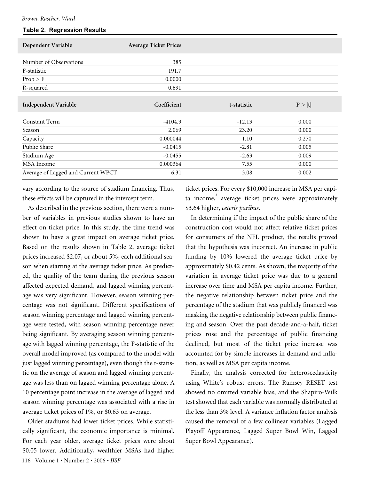#### **Table 2. Regression Results**

| Dependent Variable                 | <b>Average Ticket Prices</b> |             |        |
|------------------------------------|------------------------------|-------------|--------|
| Number of Observations             | 385                          |             |        |
| F-statistic                        | 191.7                        |             |        |
| Prob > F                           | 0.0000                       |             |        |
| R-squared                          | 0.691                        |             |        |
| Independent Variable               | Coefficient                  | t-statistic | P >  t |
| Constant Term                      | $-4104.9$                    | $-12.13$    | 0.000  |
| Season                             | 2.069                        | 23.20       | 0.000  |
| Capacity                           | 0.000044                     | 1.10        | 0.270  |
| Public Share                       | $-0.0415$                    | $-2.81$     | 0.005  |
| Stadium Age                        | $-0.0455$                    | $-2.63$     | 0.009  |
| <b>MSA</b> Income                  | 0.000364                     | 7.55        | 0.000  |
| Average of Lagged and Current WPCT | 6.31                         | 3.08        | 0.002  |

vary according to the source of stadium financing. Thus, these effects will be captured in the intercept term.

As described in the previous section, there were a number of variables in previous studies shown to have an effect on ticket price. In this study, the time trend was shown to have a great impact on average ticket price. Based on the results shown in Table 2, average ticket prices increased \$2.07, or about 5%, each additional season when starting at the average ticket price. As predicted, the quality of the team during the previous season affected expected demand, and lagged winning percentage was very significant. However, season winning percentage was not significant. Different specifications of season winning percentage and lagged winning percentage were tested, with season winning percentage never being significant. By averaging season winning percentage with lagged winning percentage, the F-statistic of the overall model improved (as compared to the model with just lagged winning percentage), even though the t-statistic on the average of season and lagged winning percentage was less than on lagged winning percentage alone. A 10 percentage point increase in the average of lagged and season winning percentage was associated with a rise in average ticket prices of 1%, or \$0.63 on average.

116 Volume 1 • Number 2 • 2006 • *IJSF* Older stadiums had lower ticket prices. While statistically significant, the economic importance is minimal. For each year older, average ticket prices were about \$0.05 lower. Additionally, wealthier MSAs had higher ticket prices. For every \$10,000 increase in MSA per capita income,<sup>3</sup> average ticket prices were approximately \$3.64 higher, *ceteris paribus*.

In determining if the impact of the public share of the construction cost would not affect relative ticket prices for consumers of the NFL product, the results proved that the hypothesis was incorrect. An increase in public funding by 10% lowered the average ticket price by approximately \$0.42 cents. As shown, the majority of the variation in average ticket price was due to a general increase over time and MSA per capita income. Further, the negative relationship between ticket price and the percentage of the stadium that was publicly financed was masking the negative relationship between public financing and season. Over the past decade-and-a-half, ticket prices rose and the percentage of public financing declined, but most of the ticket price increase was accounted for by simple increases in demand and inflation, as well as MSA per capita income.

Finally, the analysis corrected for heteroscedasticity using White's robust errors. The Ramsey RESET test showed no omitted variable bias, and the Shapiro-Wilk test showed that each variable was normally distributed at the less than 3% level. A variance inflation factor analysis caused the removal of a few collinear variables (Lagged Playoff Appearance, Lagged Super Bowl Win, Lagged Super Bowl Appearance).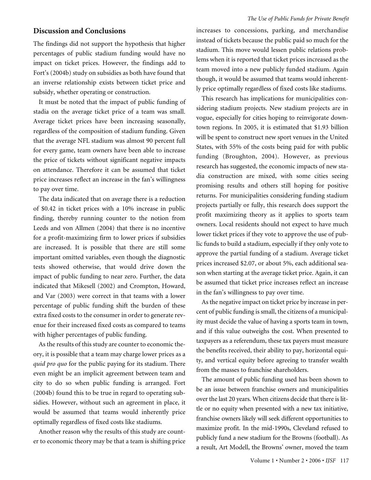# **Discussion and Conclusions**

The findings did not support the hypothesis that higher percentages of public stadium funding would have no impact on ticket prices. However, the findings add to Fort's (2004b) study on subsidies as both have found that an inverse relationship exists between ticket price and subsidy, whether operating or construction.

It must be noted that the impact of public funding of stadia on the average ticket price of a team was small. Average ticket prices have been increasing seasonally, regardless of the composition of stadium funding. Given that the average NFL stadium was almost 90 percent full for every game, team owners have been able to increase the price of tickets without significant negative impacts on attendance. Therefore it can be assumed that ticket price increases reflect an increase in the fan's willingness to pay over time.

The data indicated that on average there is a reduction of \$0.42 in ticket prices with a 10% increase in public finding, thereby running counter to the notion from Leeds and von Allmen (2004) that there is no incentive for a profit-maximizing firm to lower prices if subsidies are increased. It is possible that there are still some important omitted variables, even though the diagnostic tests showed otherwise, that would drive down the impact of public funding to near zero. Further, the data indicated that Mikesell (2002) and Crompton, Howard, and Var (2003) were correct in that teams with a lower percentage of public funding shift the burden of these extra fixed costs to the consumer in order to generate revenue for their increased fixed costs as compared to teams with higher percentages of public funding.

As the results of this study are counter to economic theory, it is possible that a team may charge lower prices as a *quid pro quo* for the public paying for its stadium. There even might be an implicit agreement between team and city to do so when public funding is arranged. Fort (2004b) found this to be true in regard to operating subsidies. However, without such an agreement in place, it would be assumed that teams would inherently price optimally regardless of fixed costs like stadiums.

Another reason why the results of this study are counter to economic theory may be that a team is shifting price increases to concessions, parking, and merchandise instead of tickets because the public paid so much for the stadium. This move would lessen public relations problems when it is reported that ticket prices increased as the team moved into a new publicly funded stadium. Again though, it would be assumed that teams would inherently price optimally regardless of fixed costs like stadiums.

This research has implications for municipalities considering stadium projects. New stadium projects are in vogue, especially for cities hoping to reinvigorate downtown regions. In 2005, it is estimated that \$1.93 billion will be spent to construct new sport venues in the United States, with 55% of the costs being paid for with public funding (Broughton, 2004). However, as previous research has suggested, the economic impacts of new stadia construction are mixed, with some cities seeing promising results and others still hoping for positive returns. For municipalities considering funding stadium projects partially or fully, this research does support the profit maximizing theory as it applies to sports team owners. Local residents should not expect to have much lower ticket prices if they vote to approve the use of public funds to build a stadium, especially if they only vote to approve the partial funding of a stadium. Average ticket prices increased \$2.07, or about 5%, each additional season when starting at the average ticket price. Again, it can be assumed that ticket price increases reflect an increase in the fan's willingness to pay over time.

As the negative impact on ticket price by increase in percent of public funding is small, the citizens of a municipality must decide the value of having a sports team in town, and if this value outweighs the cost. When presented to taxpayers as a referendum, these tax payers must measure the benefits received, their ability to pay, horizontal equity, and vertical equity before agreeing to transfer wealth from the masses to franchise shareholders.

The amount of public funding used has been shown to be an issue between franchise owners and municipalities over the last 20 years. When citizens decide that there is little or no equity when presented with a new tax initiative, franchise owners likely will seek different opportunities to maximize profit. In the mid-1990s, Cleveland refused to publicly fund a new stadium for the Browns (football). As a result, Art Modell, the Browns' owner, moved the team